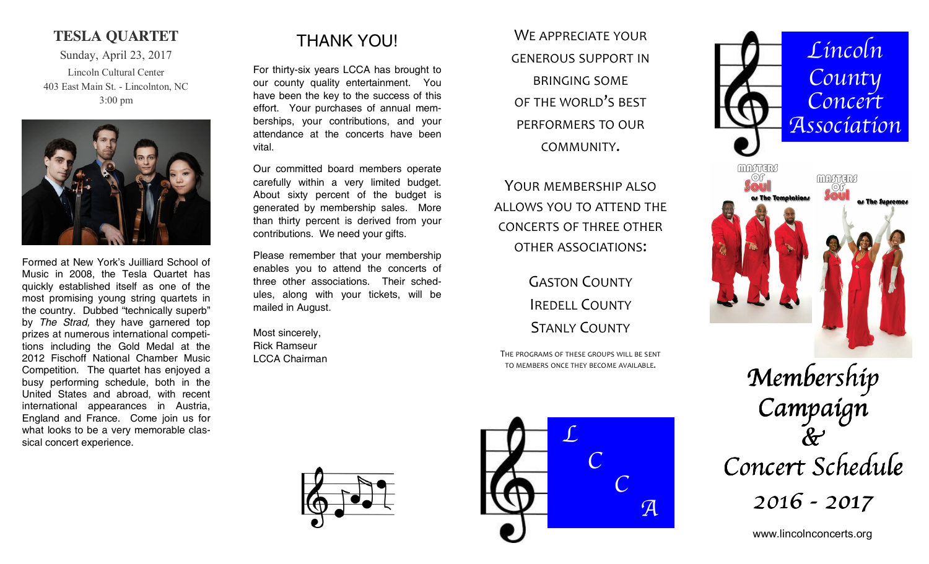### **TESLA QUARTET**

Sunday, April 23, 2017 Lincoln Cultural Center 403 East Main St. - Lincolnton, NC 3:00 pm



Formed at New York's Juilliard School of Music in 2008, the Tesla Quartet has quickly established itself as one of the most promising young string quartets in the country. Dubbed "technically superb" by *The Strad,* they have garnered top prizes at numerous international competitions including the Gold Medal at the 2012 Fischoff National Chamber Music Competition. The quartet has enjoyed a busy performing schedule, both in the United States and abroad, with recent international appearances in Austria, England and France. Come join us for what looks to be a very memorable classical concert experience.

# THANK YOU!

For thirty-six years LCCA has brought to our county quality entertainment. You have been the key to the success of this effort. Your purchases of annual memberships, your contributions, and your attendance at the concerts have been vital.

Our committed board members operate carefully within a very limited budget. About sixty percent of the budget is generated by membership sales. More than thirty percent is derived from your contributions. We need your gifts.

Please remember that your membership enables you to attend the concerts of three other associations. Their schedules, along with your tickets, will be mailed in August.

Most sincerely, Rick Ramseur LCCA Chairman

WE APPRECIATE YOUR GENEROUS SUPPORT INBRINGING SOME OF THE WORLD'<sup>S</sup> BEST PERFORMERS TO OUR COMMUNITY.

YOUR MEMBERSHIP ALSOALLOWS YOU TO ATTEND THE CONCERTS OF THREE OTHEROTHER ASSOCIATIONS:

> GASTON COUNTYIREDELL COUNTYSTANLY COUNTY

THE PROGRAMS OF THESE GROUPS WILL BE SENT TO MEMBERS ONCE THEY BECOME AVAILABLE.





Membership Campaign  $\&$ Concert Schedule 2016 - 2017